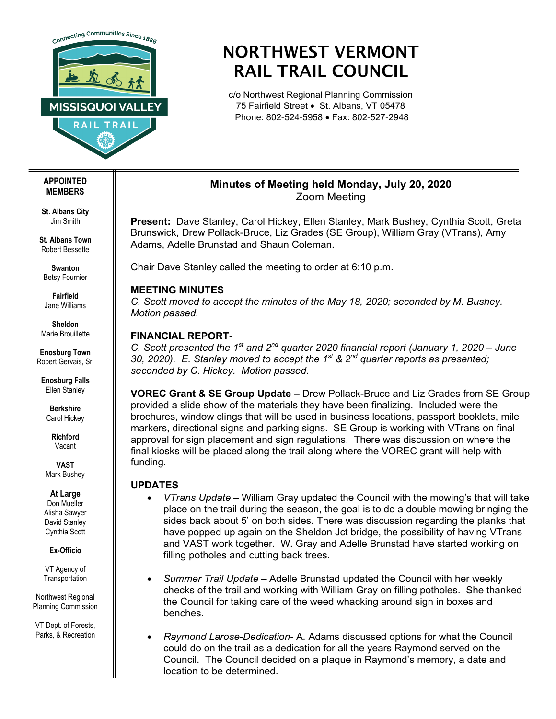

# NORTHWEST VERMONT RAIL TRAIL COUNCIL

c/o Northwest Regional Planning Commission 75 Fairfield Street • St. Albans, VT 05478 Phone: 802-524-5958 • Fax: 802-527-2948

## **Minutes of Meeting held Monday, July 20, 2020** Zoom Meeting

**Present:** Dave Stanley, Carol Hickey, Ellen Stanley, Mark Bushey, Cynthia Scott, Greta Brunswick, Drew Pollack-Bruce, Liz Grades (SE Group), William Gray (VTrans), Amy Adams, Adelle Brunstad and Shaun Coleman.

Chair Dave Stanley called the meeting to order at 6:10 p.m.

### **MEETING MINUTES**

*C. Scott moved to accept the minutes of the May 18, 2020; seconded by M. Bushey. Motion passed.* 

# **FINANCIAL REPORT-**

*C. Scott presented the 1st and 2nd quarter 2020 financial report (January 1, 2020 – June 30, 2020). E. Stanley moved to accept the 1st & 2nd quarter reports as presented; seconded by C. Hickey. Motion passed.*

**VOREC Grant & SE Group Update –** Drew Pollack-Bruce and Liz Grades from SE Group provided a slide show of the materials they have been finalizing. Included were the brochures, window clings that will be used in business locations, passport booklets, mile markers, directional signs and parking signs. SE Group is working with VTrans on final approval for sign placement and sign regulations. There was discussion on where the final kiosks will be placed along the trail along where the VOREC grant will help with funding.

## **UPDATES**

- *VTrans Update –* William Gray updated the Council with the mowing's that will take place on the trail during the season, the goal is to do a double mowing bringing the sides back about 5' on both sides. There was discussion regarding the planks that have popped up again on the Sheldon Jct bridge, the possibility of having VTrans and VAST work together. W. Gray and Adelle Brunstad have started working on filling potholes and cutting back trees.
- *Summer Trail Update –* Adelle Brunstad updated the Council with her weekly checks of the trail and working with William Gray on filling potholes. She thanked the Council for taking care of the weed whacking around sign in boxes and benches.
- *Raymond Larose-Dedication-* A. Adams discussed options for what the Council could do on the trail as a dedication for all the years Raymond served on the Council. The Council decided on a plaque in Raymond's memory, a date and location to be determined.

#### **APPOINTED MEMBERS**

**St. Albans City** Jim Smith

**St. Albans Town** Robert Bessette

**Swanton** Betsy Fournier

**Fairfield** Jane Williams

**Sheldon** Marie Brouillette

**Enosburg Town** Robert Gervais, Sr.

**Enosburg Falls** Ellen Stanley

> **Berkshire** Carol Hickey

> > **Richford** Vacant

**VAST** Mark Bushey

#### **At Large**

Don Mueller Alisha Sawyer David Stanley Cynthia Scott

**Ex-Officio**

VT Agency of **Transportation** 

Northwest Regional Planning Commission

VT Dept. of Forests, Parks, & Recreation